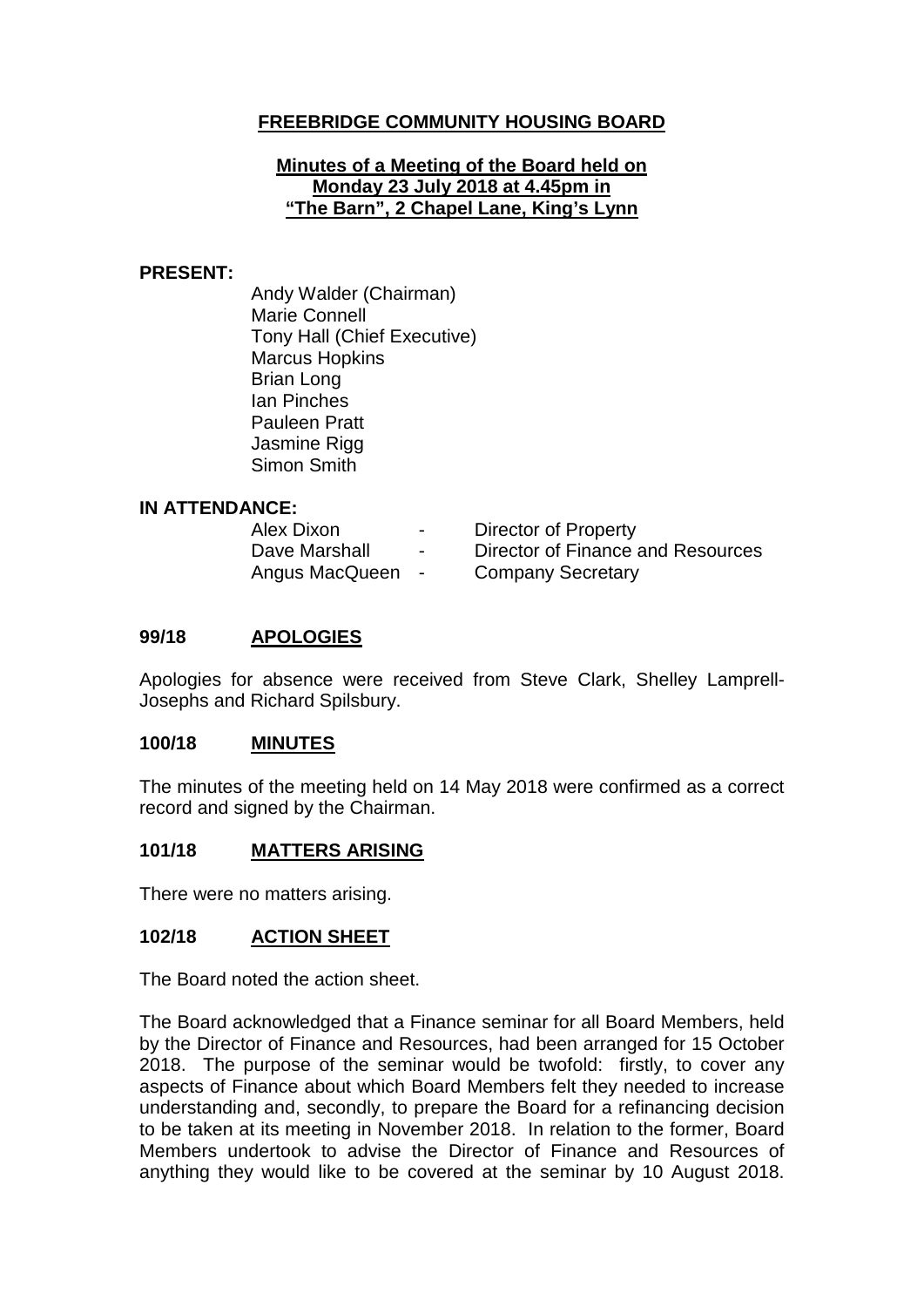# **FREEBRIDGE COMMUNITY HOUSING BOARD**

#### **Minutes of a Meeting of the Board held on Monday 23 July 2018 at 4.45pm in "The Barn", 2 Chapel Lane, King's Lynn**

#### **PRESENT:**

Andy Walder (Chairman) Marie Connell Tony Hall (Chief Executive) Marcus Hopkins Brian Long Ian Pinches Pauleen Pratt Jasmine Rigg Simon Smith

### **IN ATTENDANCE:**

| Alex Dixon     | $\sim$ 100 $\mu$ | Director of Property              |
|----------------|------------------|-----------------------------------|
| Dave Marshall  | $\sim$           | Director of Finance and Resources |
| Angus MacQueen | $\sim$           | <b>Company Secretary</b>          |

### **99/18 APOLOGIES**

Apologies for absence were received from Steve Clark, Shelley Lamprell-Josephs and Richard Spilsbury.

### **100/18 MINUTES**

The minutes of the meeting held on 14 May 2018 were confirmed as a correct record and signed by the Chairman.

### **101/18 MATTERS ARISING**

There were no matters arising.

### **102/18 ACTION SHEET**

The Board noted the action sheet.

The Board acknowledged that a Finance seminar for all Board Members, held by the Director of Finance and Resources, had been arranged for 15 October 2018. The purpose of the seminar would be twofold: firstly, to cover any aspects of Finance about which Board Members felt they needed to increase understanding and, secondly, to prepare the Board for a refinancing decision to be taken at its meeting in November 2018. In relation to the former, Board Members undertook to advise the Director of Finance and Resources of anything they would like to be covered at the seminar by 10 August 2018.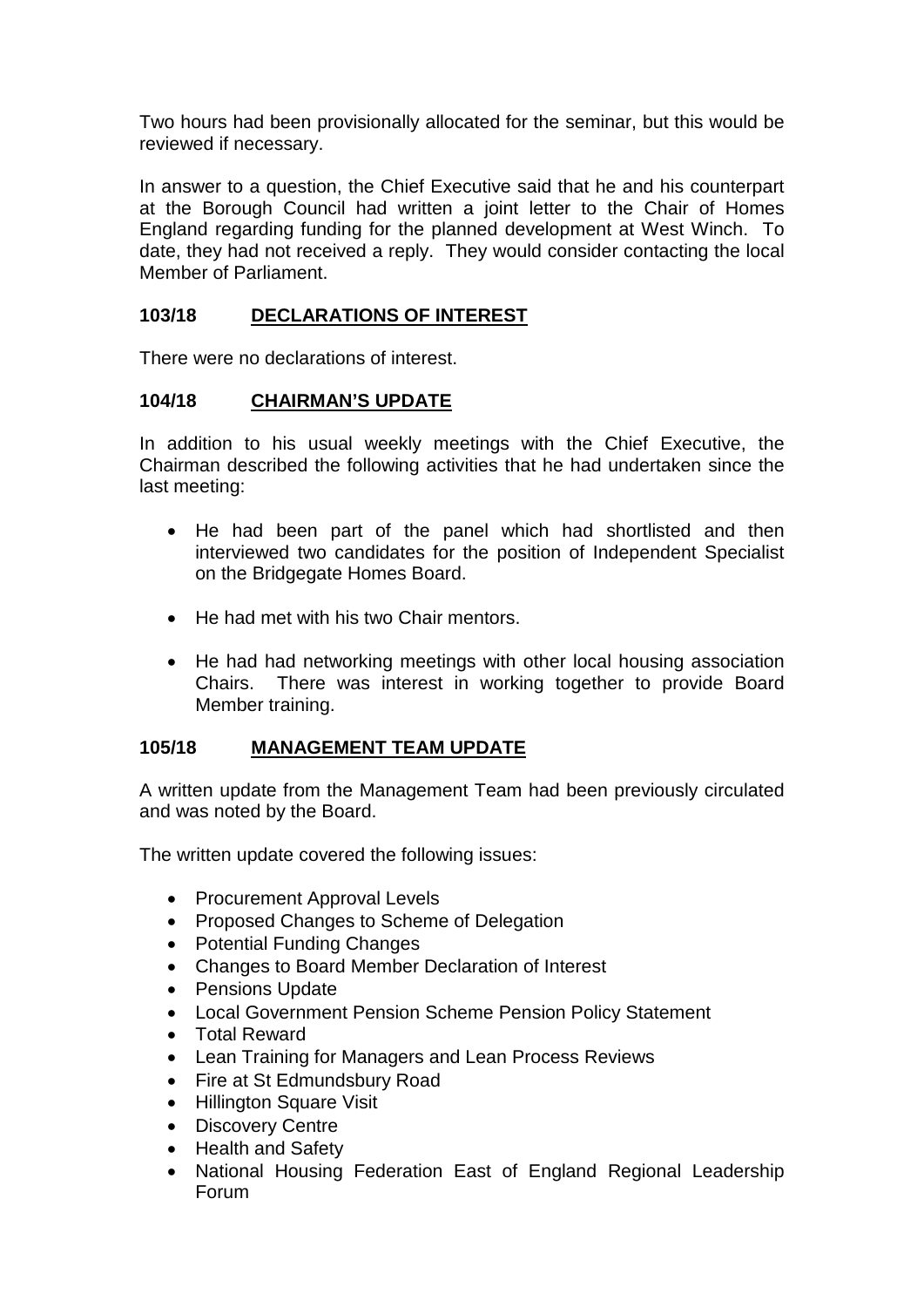Two hours had been provisionally allocated for the seminar, but this would be reviewed if necessary.

In answer to a question, the Chief Executive said that he and his counterpart at the Borough Council had written a joint letter to the Chair of Homes England regarding funding for the planned development at West Winch. To date, they had not received a reply. They would consider contacting the local Member of Parliament.

# **103/18 DECLARATIONS OF INTEREST**

There were no declarations of interest.

# **104/18 CHAIRMAN'S UPDATE**

In addition to his usual weekly meetings with the Chief Executive, the Chairman described the following activities that he had undertaken since the last meeting:

- He had been part of the panel which had shortlisted and then interviewed two candidates for the position of Independent Specialist on the Bridgegate Homes Board.
- He had met with his two Chair mentors.
- He had had networking meetings with other local housing association Chairs. There was interest in working together to provide Board Member training.

### **105/18 MANAGEMENT TEAM UPDATE**

A written update from the Management Team had been previously circulated and was noted by the Board.

The written update covered the following issues:

- Procurement Approval Levels
- Proposed Changes to Scheme of Delegation
- Potential Funding Changes
- Changes to Board Member Declaration of Interest
- Pensions Update
- Local Government Pension Scheme Pension Policy Statement
- Total Reward
- Lean Training for Managers and Lean Process Reviews
- Fire at St Edmundsbury Road
- Hillington Square Visit
- Discovery Centre
- Health and Safety
- National Housing Federation East of England Regional Leadership Forum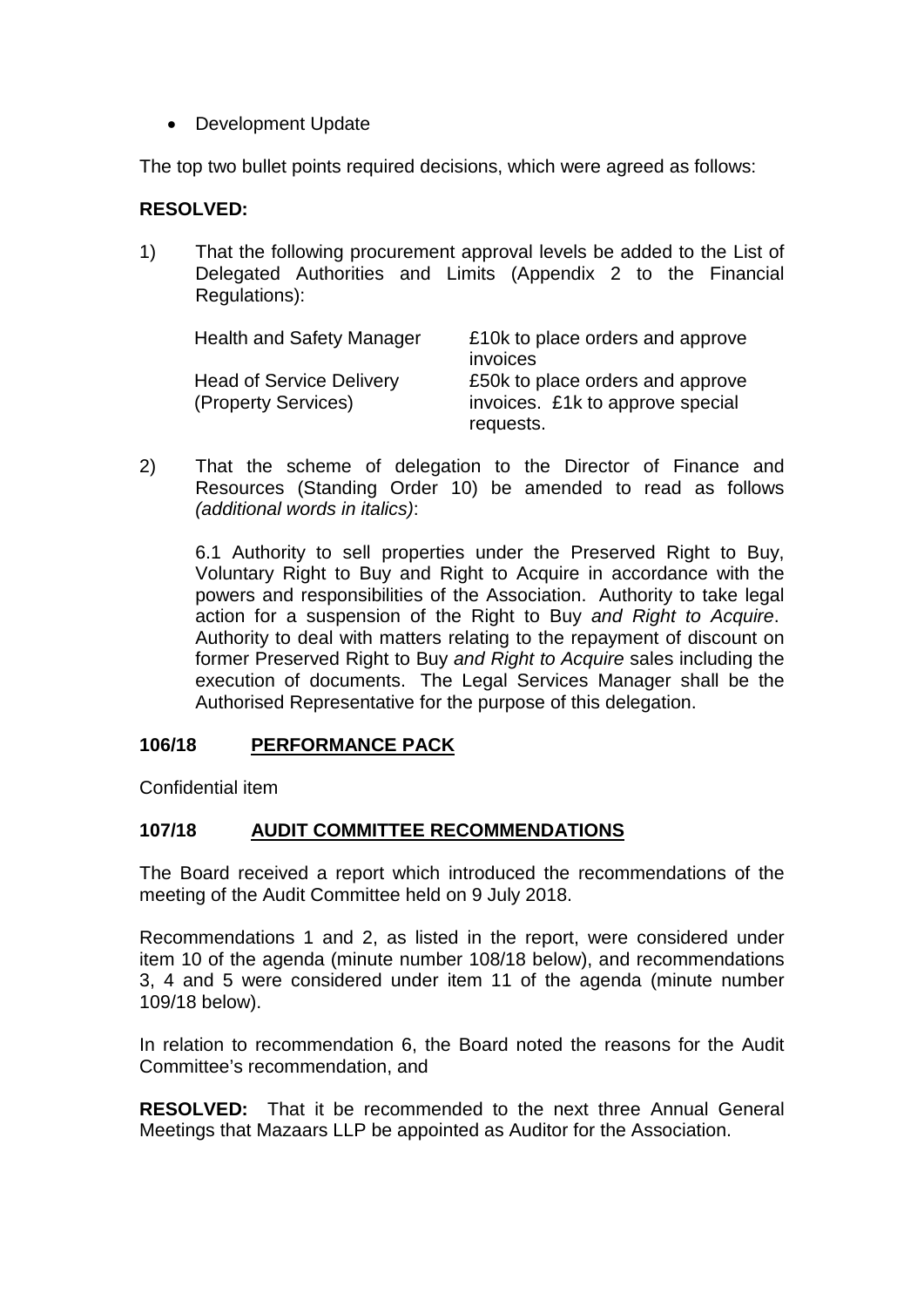• Development Update

The top two bullet points required decisions, which were agreed as follows:

### **RESOLVED:**

1) That the following procurement approval levels be added to the List of Delegated Authorities and Limits (Appendix 2 to the Financial Regulations):

| <b>Health and Safety Manager</b> | £10k to place orders and approve |
|----------------------------------|----------------------------------|
|                                  | invoices                         |
| <b>Head of Service Delivery</b>  | £50k to place orders and approve |
| (Property Services)              | invoices. £1k to approve special |
|                                  | requests.                        |

2) That the scheme of delegation to the Director of Finance and Resources (Standing Order 10) be amended to read as follows *(additional words in italics)*:

6.1 Authority to sell properties under the Preserved Right to Buy, Voluntary Right to Buy and Right to Acquire in accordance with the powers and responsibilities of the Association. Authority to take legal action for a suspension of the Right to Buy *and Right to Acquire*. Authority to deal with matters relating to the repayment of discount on former Preserved Right to Buy *and Right to Acquire* sales including the execution of documents. The Legal Services Manager shall be the Authorised Representative for the purpose of this delegation.

### **106/18 PERFORMANCE PACK**

Confidential item

### **107/18 AUDIT COMMITTEE RECOMMENDATIONS**

The Board received a report which introduced the recommendations of the meeting of the Audit Committee held on 9 July 2018.

Recommendations 1 and 2, as listed in the report, were considered under item 10 of the agenda (minute number 108/18 below), and recommendations 3, 4 and 5 were considered under item 11 of the agenda (minute number 109/18 below).

In relation to recommendation 6, the Board noted the reasons for the Audit Committee's recommendation, and

**RESOLVED:** That it be recommended to the next three Annual General Meetings that Mazaars LLP be appointed as Auditor for the Association.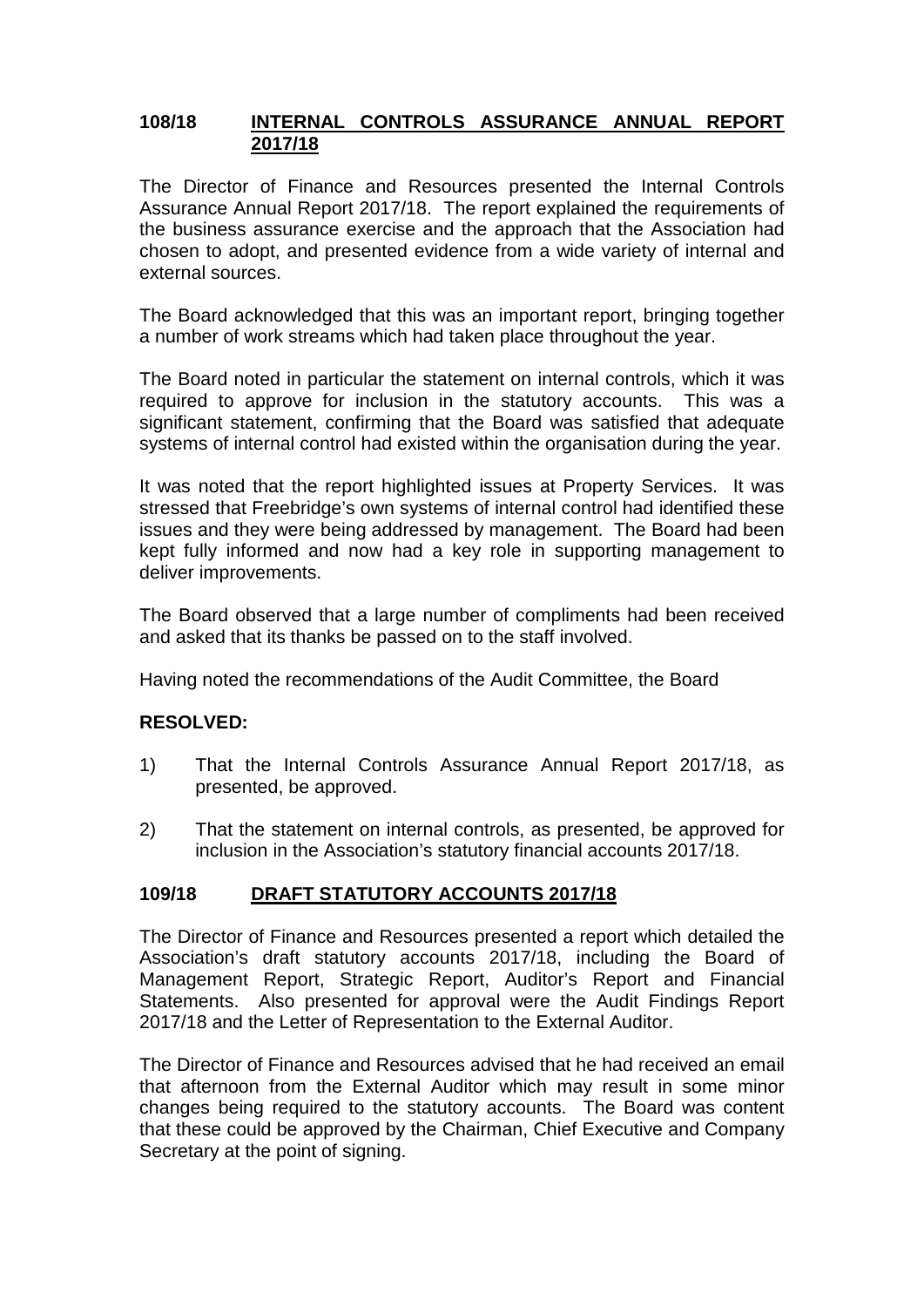### **108/18 INTERNAL CONTROLS ASSURANCE ANNUAL REPORT 2017/18**

The Director of Finance and Resources presented the Internal Controls Assurance Annual Report 2017/18. The report explained the requirements of the business assurance exercise and the approach that the Association had chosen to adopt, and presented evidence from a wide variety of internal and external sources.

The Board acknowledged that this was an important report, bringing together a number of work streams which had taken place throughout the year.

The Board noted in particular the statement on internal controls, which it was required to approve for inclusion in the statutory accounts. This was a significant statement, confirming that the Board was satisfied that adequate systems of internal control had existed within the organisation during the year.

It was noted that the report highlighted issues at Property Services. It was stressed that Freebridge's own systems of internal control had identified these issues and they were being addressed by management. The Board had been kept fully informed and now had a key role in supporting management to deliver improvements.

The Board observed that a large number of compliments had been received and asked that its thanks be passed on to the staff involved.

Having noted the recommendations of the Audit Committee, the Board

### **RESOLVED:**

- 1) That the Internal Controls Assurance Annual Report 2017/18, as presented, be approved.
- 2) That the statement on internal controls, as presented, be approved for inclusion in the Association's statutory financial accounts 2017/18.

### **109/18 DRAFT STATUTORY ACCOUNTS 2017/18**

The Director of Finance and Resources presented a report which detailed the Association's draft statutory accounts 2017/18, including the Board of Management Report, Strategic Report, Auditor's Report and Financial Statements. Also presented for approval were the Audit Findings Report 2017/18 and the Letter of Representation to the External Auditor.

The Director of Finance and Resources advised that he had received an email that afternoon from the External Auditor which may result in some minor changes being required to the statutory accounts. The Board was content that these could be approved by the Chairman, Chief Executive and Company Secretary at the point of signing.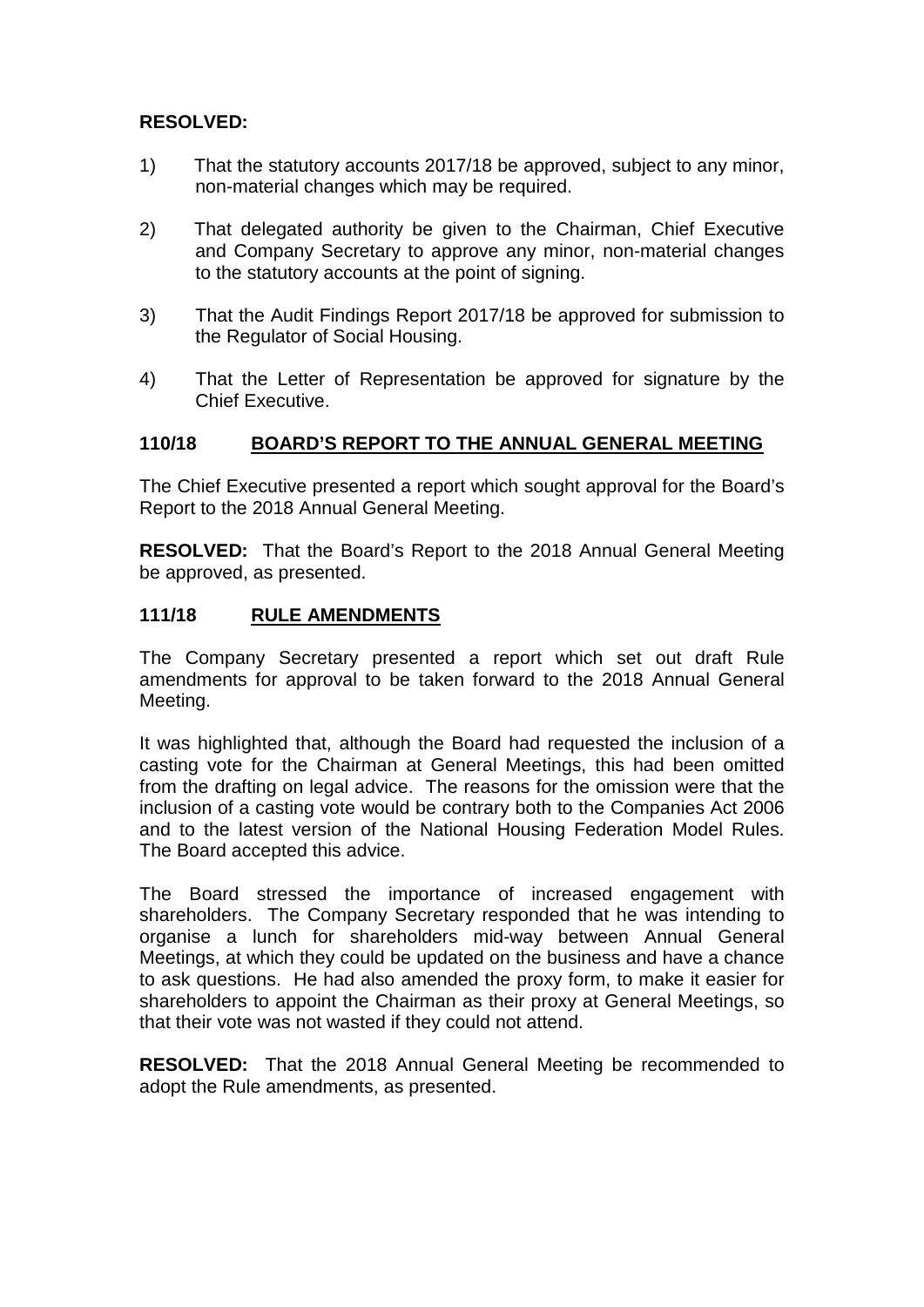### **RESOLVED:**

- 1) That the statutory accounts 2017/18 be approved, subject to any minor, non-material changes which may be required.
- 2) That delegated authority be given to the Chairman, Chief Executive and Company Secretary to approve any minor, non-material changes to the statutory accounts at the point of signing.
- 3) That the Audit Findings Report 2017/18 be approved for submission to the Regulator of Social Housing.
- 4) That the Letter of Representation be approved for signature by the Chief Executive.

### **110/18 BOARD'S REPORT TO THE ANNUAL GENERAL MEETING**

The Chief Executive presented a report which sought approval for the Board's Report to the 2018 Annual General Meeting.

**RESOLVED:** That the Board's Report to the 2018 Annual General Meeting be approved, as presented.

### **111/18 RULE AMENDMENTS**

The Company Secretary presented a report which set out draft Rule amendments for approval to be taken forward to the 2018 Annual General Meeting.

It was highlighted that, although the Board had requested the inclusion of a casting vote for the Chairman at General Meetings, this had been omitted from the drafting on legal advice. The reasons for the omission were that the inclusion of a casting vote would be contrary both to the Companies Act 2006 and to the latest version of the National Housing Federation Model Rules. The Board accepted this advice.

The Board stressed the importance of increased engagement with shareholders. The Company Secretary responded that he was intending to organise a lunch for shareholders mid-way between Annual General Meetings, at which they could be updated on the business and have a chance to ask questions. He had also amended the proxy form, to make it easier for shareholders to appoint the Chairman as their proxy at General Meetings, so that their vote was not wasted if they could not attend.

**RESOLVED:** That the 2018 Annual General Meeting be recommended to adopt the Rule amendments, as presented.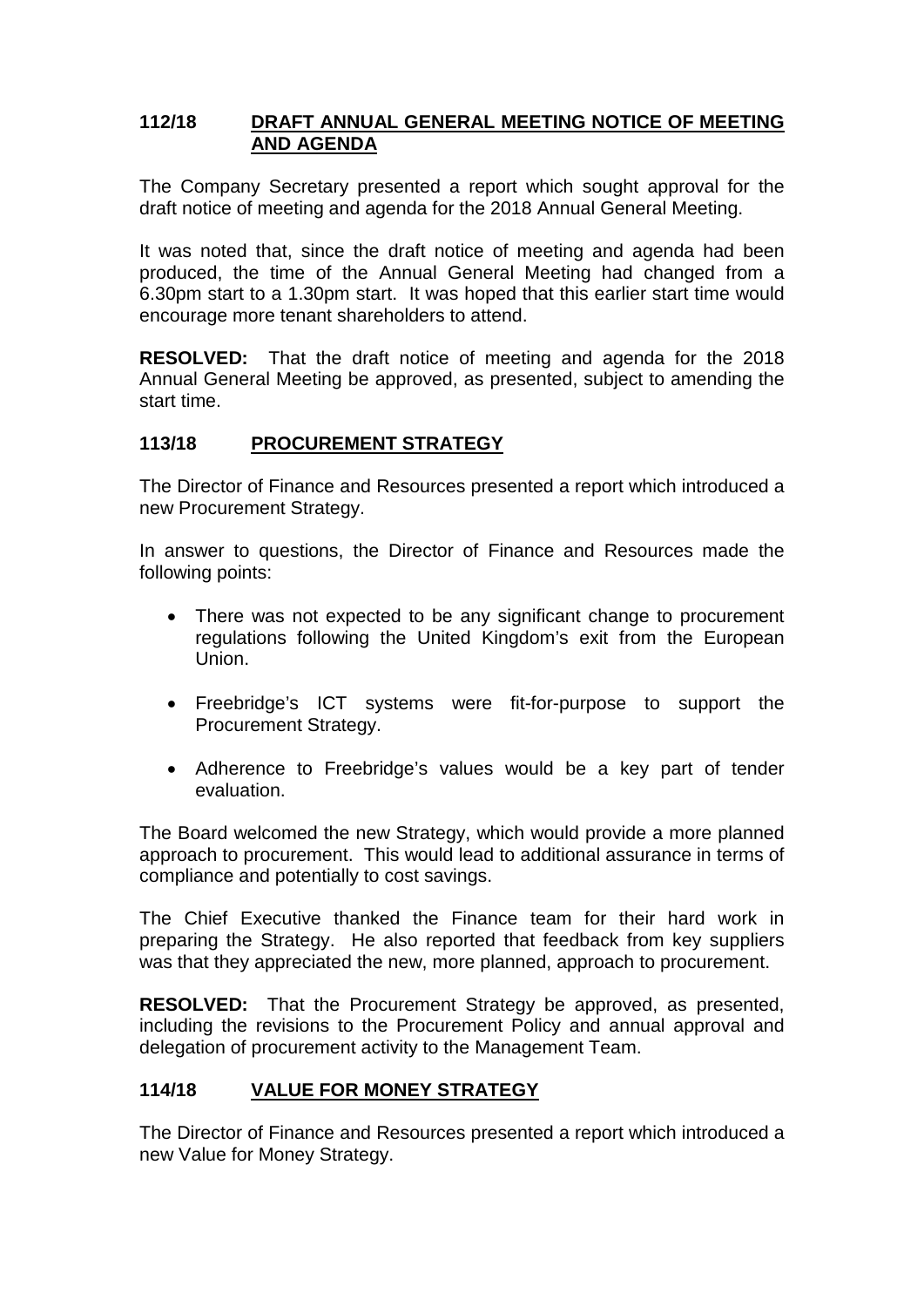### **112/18 DRAFT ANNUAL GENERAL MEETING NOTICE OF MEETING AND AGENDA**

The Company Secretary presented a report which sought approval for the draft notice of meeting and agenda for the 2018 Annual General Meeting.

It was noted that, since the draft notice of meeting and agenda had been produced, the time of the Annual General Meeting had changed from a 6.30pm start to a 1.30pm start. It was hoped that this earlier start time would encourage more tenant shareholders to attend.

**RESOLVED:** That the draft notice of meeting and agenda for the 2018 Annual General Meeting be approved, as presented, subject to amending the start time.

### **113/18 PROCUREMENT STRATEGY**

The Director of Finance and Resources presented a report which introduced a new Procurement Strategy.

In answer to questions, the Director of Finance and Resources made the following points:

- There was not expected to be any significant change to procurement regulations following the United Kingdom's exit from the European Union.
- Freebridge's ICT systems were fit-for-purpose to support the Procurement Strategy.
- Adherence to Freebridge's values would be a key part of tender evaluation.

The Board welcomed the new Strategy, which would provide a more planned approach to procurement. This would lead to additional assurance in terms of compliance and potentially to cost savings.

The Chief Executive thanked the Finance team for their hard work in preparing the Strategy. He also reported that feedback from key suppliers was that they appreciated the new, more planned, approach to procurement.

**RESOLVED:** That the Procurement Strategy be approved, as presented, including the revisions to the Procurement Policy and annual approval and delegation of procurement activity to the Management Team.

### **114/18 VALUE FOR MONEY STRATEGY**

The Director of Finance and Resources presented a report which introduced a new Value for Money Strategy.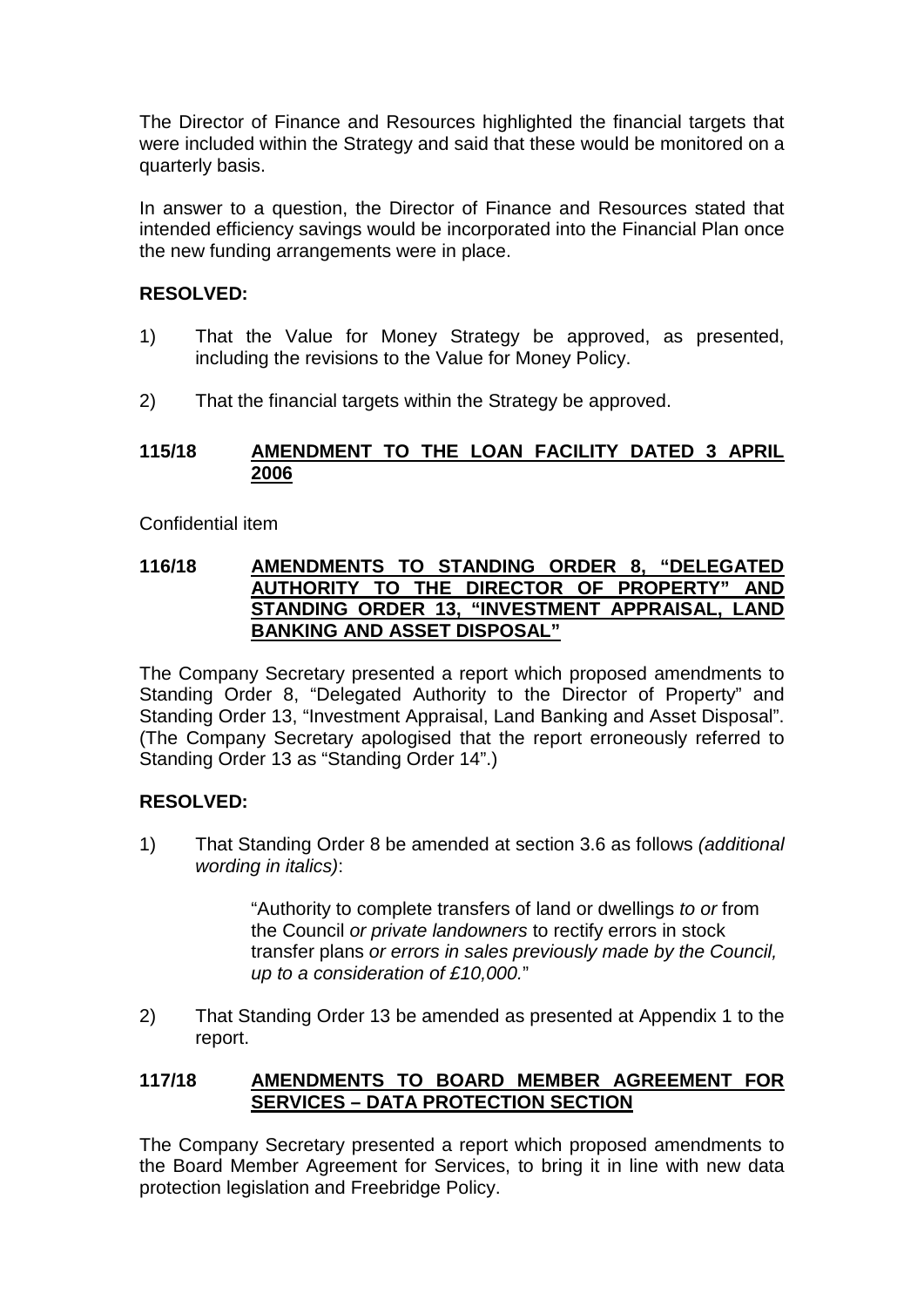The Director of Finance and Resources highlighted the financial targets that were included within the Strategy and said that these would be monitored on a quarterly basis.

In answer to a question, the Director of Finance and Resources stated that intended efficiency savings would be incorporated into the Financial Plan once the new funding arrangements were in place.

### **RESOLVED:**

- 1) That the Value for Money Strategy be approved, as presented, including the revisions to the Value for Money Policy.
- 2) That the financial targets within the Strategy be approved.

#### **115/18 AMENDMENT TO THE LOAN FACILITY DATED 3 APRIL 2006**

Confidential item

#### **116/18 AMENDMENTS TO STANDING ORDER 8, "DELEGATED AUTHORITY TO THE DIRECTOR OF PROPERTY" AND STANDING ORDER 13, "INVESTMENT APPRAISAL, LAND BANKING AND ASSET DISPOSAL"**

The Company Secretary presented a report which proposed amendments to Standing Order 8, "Delegated Authority to the Director of Property" and Standing Order 13, "Investment Appraisal, Land Banking and Asset Disposal". (The Company Secretary apologised that the report erroneously referred to Standing Order 13 as "Standing Order 14".)

### **RESOLVED:**

1) That Standing Order 8 be amended at section 3.6 as follows *(additional wording in italics)*:

> "Authority to complete transfers of land or dwellings *to or* from the Council *or private landowners* to rectify errors in stock transfer plans *or errors in sales previously made by the Council, up to a consideration of £10,000.*"

2) That Standing Order 13 be amended as presented at Appendix 1 to the report.

### **117/18 AMENDMENTS TO BOARD MEMBER AGREEMENT FOR SERVICES – DATA PROTECTION SECTION**

The Company Secretary presented a report which proposed amendments to the Board Member Agreement for Services, to bring it in line with new data protection legislation and Freebridge Policy.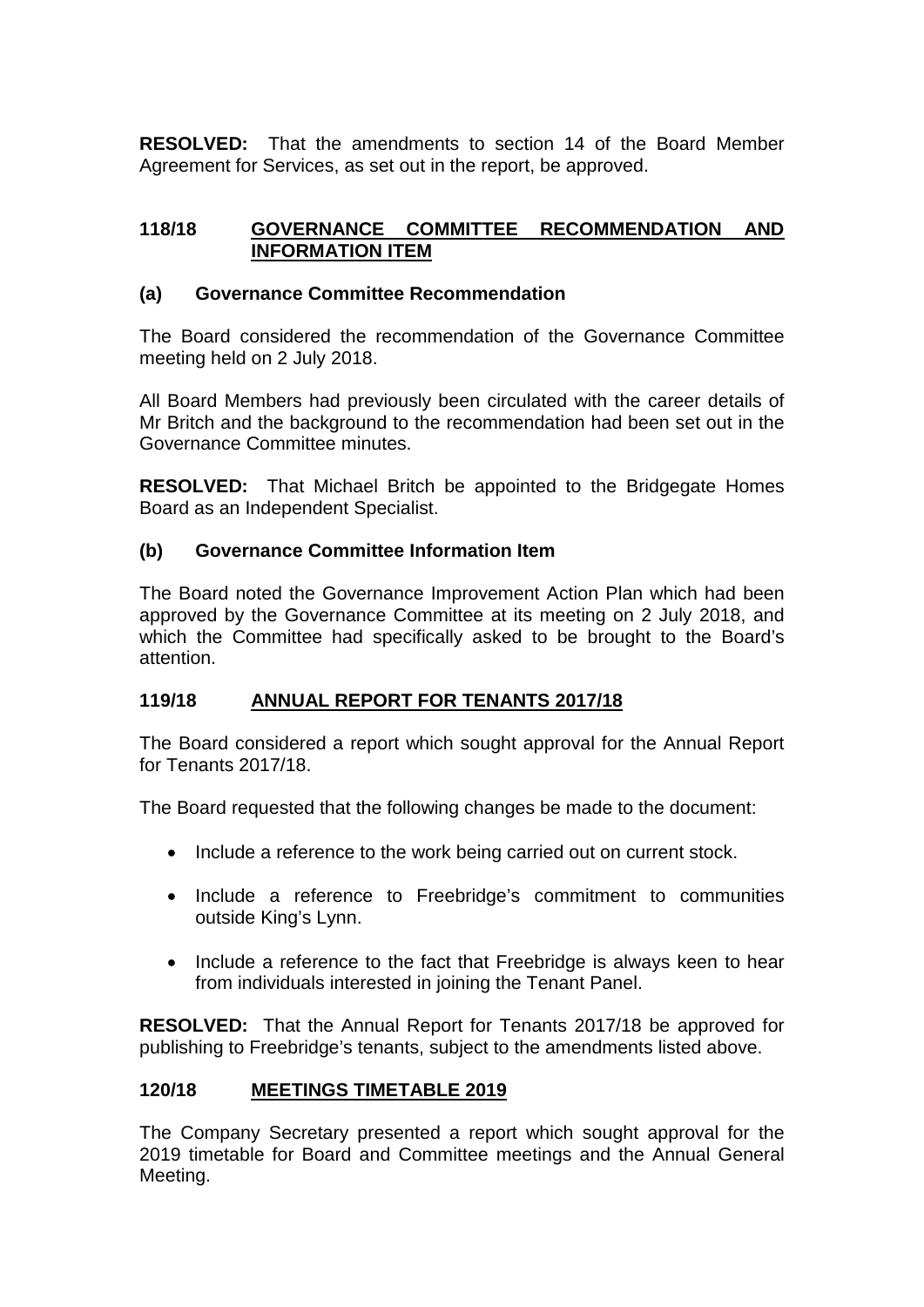**RESOLVED:** That the amendments to section 14 of the Board Member Agreement for Services, as set out in the report, be approved.

### **118/18 GOVERNANCE COMMITTEE RECOMMENDATION AND INFORMATION ITEM**

### **(a) Governance Committee Recommendation**

The Board considered the recommendation of the Governance Committee meeting held on 2 July 2018.

All Board Members had previously been circulated with the career details of Mr Britch and the background to the recommendation had been set out in the Governance Committee minutes.

**RESOLVED:** That Michael Britch be appointed to the Bridgegate Homes Board as an Independent Specialist.

# **(b) Governance Committee Information Item**

The Board noted the Governance Improvement Action Plan which had been approved by the Governance Committee at its meeting on 2 July 2018, and which the Committee had specifically asked to be brought to the Board's attention.

# **119/18 ANNUAL REPORT FOR TENANTS 2017/18**

The Board considered a report which sought approval for the Annual Report for Tenants 2017/18.

The Board requested that the following changes be made to the document:

- Include a reference to the work being carried out on current stock.
- Include a reference to Freebridge's commitment to communities outside King's Lynn.
- Include a reference to the fact that Freebridge is always keen to hear from individuals interested in joining the Tenant Panel.

**RESOLVED:** That the Annual Report for Tenants 2017/18 be approved for publishing to Freebridge's tenants, subject to the amendments listed above.

# **120/18 MEETINGS TIMETABLE 2019**

The Company Secretary presented a report which sought approval for the 2019 timetable for Board and Committee meetings and the Annual General Meeting.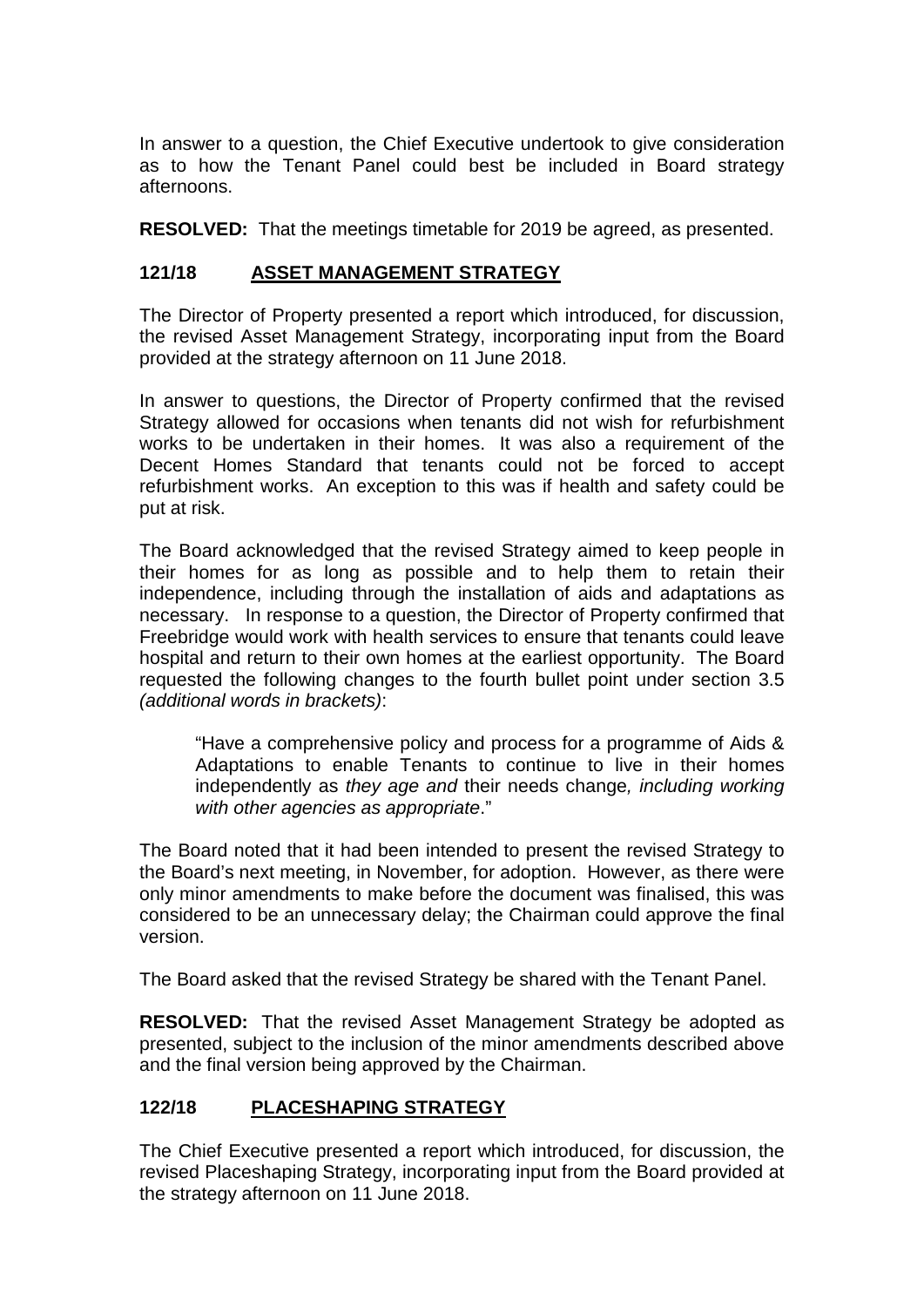In answer to a question, the Chief Executive undertook to give consideration as to how the Tenant Panel could best be included in Board strategy afternoons.

**RESOLVED:** That the meetings timetable for 2019 be agreed, as presented.

### **121/18 ASSET MANAGEMENT STRATEGY**

The Director of Property presented a report which introduced, for discussion, the revised Asset Management Strategy, incorporating input from the Board provided at the strategy afternoon on 11 June 2018.

In answer to questions, the Director of Property confirmed that the revised Strategy allowed for occasions when tenants did not wish for refurbishment works to be undertaken in their homes. It was also a requirement of the Decent Homes Standard that tenants could not be forced to accept refurbishment works. An exception to this was if health and safety could be put at risk.

The Board acknowledged that the revised Strategy aimed to keep people in their homes for as long as possible and to help them to retain their independence, including through the installation of aids and adaptations as necessary. In response to a question, the Director of Property confirmed that Freebridge would work with health services to ensure that tenants could leave hospital and return to their own homes at the earliest opportunity. The Board requested the following changes to the fourth bullet point under section 3.5 *(additional words in brackets)*:

"Have a comprehensive policy and process for a programme of Aids & Adaptations to enable Tenants to continue to live in their homes independently as *they age and* their needs change*, including working with other agencies as appropriate*."

The Board noted that it had been intended to present the revised Strategy to the Board's next meeting, in November, for adoption. However, as there were only minor amendments to make before the document was finalised, this was considered to be an unnecessary delay; the Chairman could approve the final version.

The Board asked that the revised Strategy be shared with the Tenant Panel.

**RESOLVED:** That the revised Asset Management Strategy be adopted as presented, subject to the inclusion of the minor amendments described above and the final version being approved by the Chairman.

# **122/18 PLACESHAPING STRATEGY**

The Chief Executive presented a report which introduced, for discussion, the revised Placeshaping Strategy, incorporating input from the Board provided at the strategy afternoon on 11 June 2018.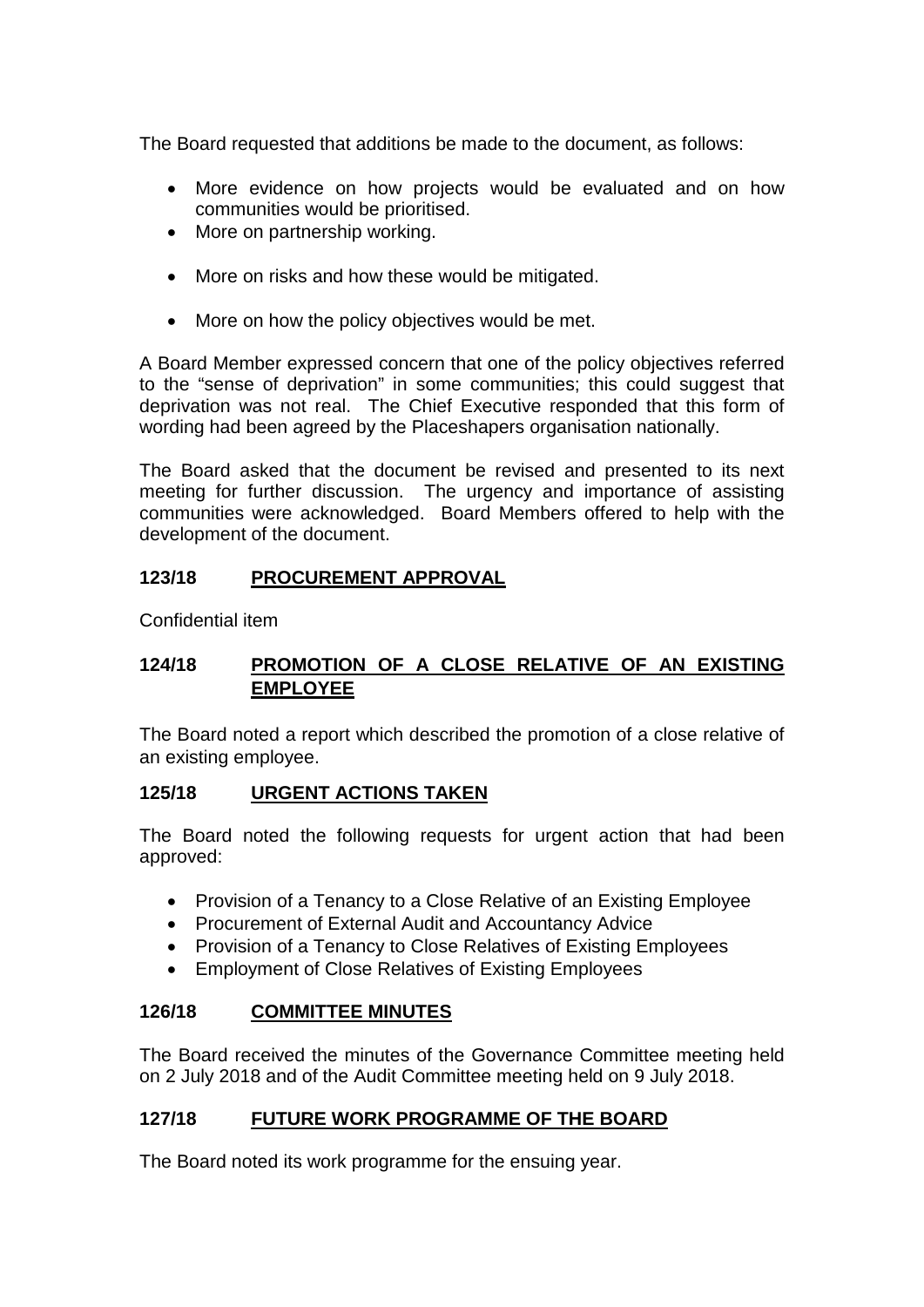The Board requested that additions be made to the document, as follows:

- More evidence on how projects would be evaluated and on how communities would be prioritised.
- More on partnership working.
- More on risks and how these would be mitigated.
- More on how the policy objectives would be met.

A Board Member expressed concern that one of the policy objectives referred to the "sense of deprivation" in some communities; this could suggest that deprivation was not real. The Chief Executive responded that this form of wording had been agreed by the Placeshapers organisation nationally.

The Board asked that the document be revised and presented to its next meeting for further discussion. The urgency and importance of assisting communities were acknowledged. Board Members offered to help with the development of the document.

# **123/18 PROCUREMENT APPROVAL**

Confidential item

# **124/18 PROMOTION OF A CLOSE RELATIVE OF AN EXISTING EMPLOYEE**

The Board noted a report which described the promotion of a close relative of an existing employee.

### **125/18 URGENT ACTIONS TAKEN**

The Board noted the following requests for urgent action that had been approved:

- Provision of a Tenancy to a Close Relative of an Existing Employee
- Procurement of External Audit and Accountancy Advice
- Provision of a Tenancy to Close Relatives of Existing Employees
- Employment of Close Relatives of Existing Employees

### **126/18 COMMITTEE MINUTES**

The Board received the minutes of the Governance Committee meeting held on 2 July 2018 and of the Audit Committee meeting held on 9 July 2018.

### **127/18 FUTURE WORK PROGRAMME OF THE BOARD**

The Board noted its work programme for the ensuing year.